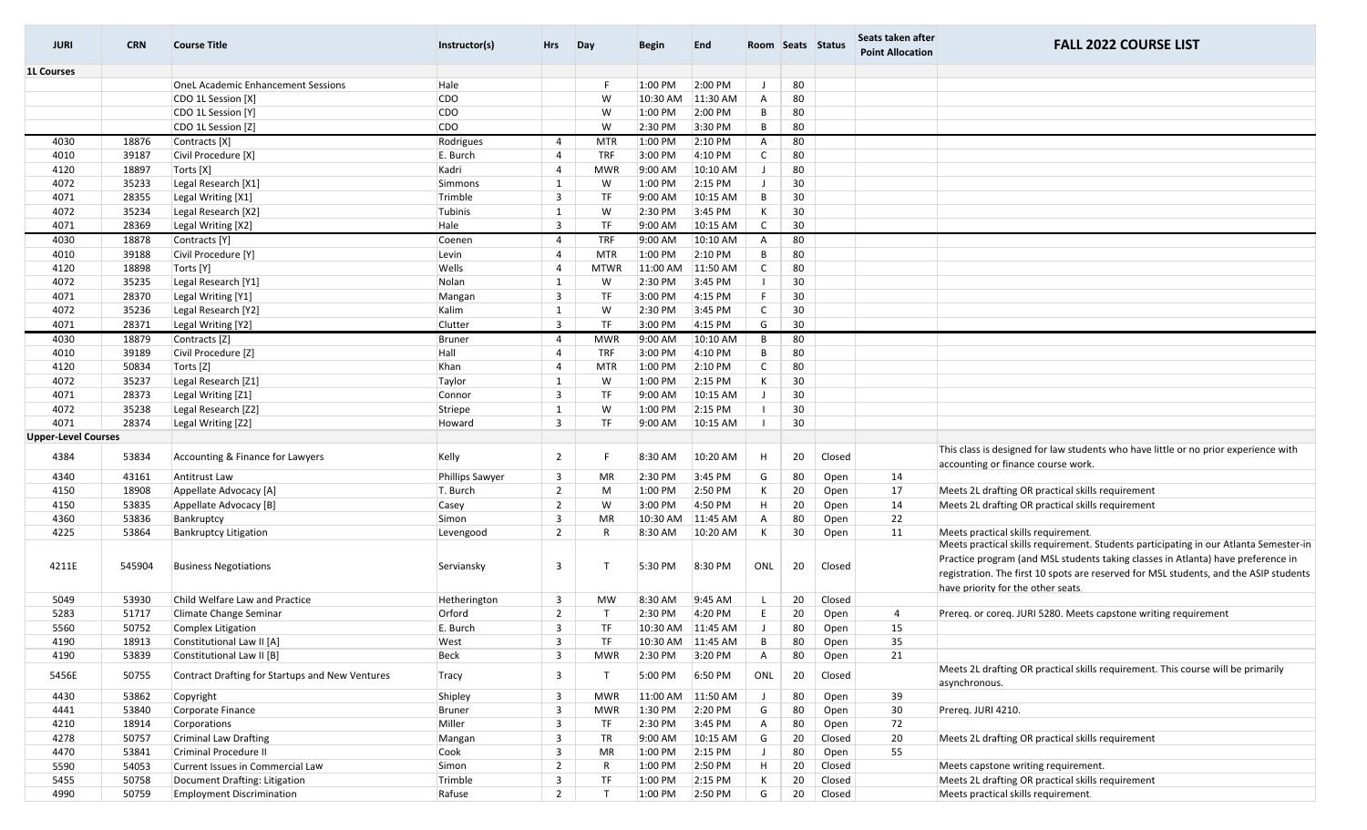| <b>JURI</b>                | <b>CRN</b> | <b>Course Title</b>                             | Instructor(s)   | <b>Hrs</b>     | Day          | Begin     | <b>End</b> |                | Room Seats Status |        | Seats taken after<br><b>Point Allocation</b> | <b>FALL 2022 COURSE LIST</b>                                                                                                                                                                                                                                                                             |
|----------------------------|------------|-------------------------------------------------|-----------------|----------------|--------------|-----------|------------|----------------|-------------------|--------|----------------------------------------------|----------------------------------------------------------------------------------------------------------------------------------------------------------------------------------------------------------------------------------------------------------------------------------------------------------|
| <b>1L Courses</b>          |            |                                                 |                 |                |              |           |            |                |                   |        |                                              |                                                                                                                                                                                                                                                                                                          |
|                            |            | <b>OneL Academic Enhancement Sessions</b>       | Hale            |                | -F           | 1:00 PM   | 2:00 PM    | J              | 80                |        |                                              |                                                                                                                                                                                                                                                                                                          |
|                            |            | CDO 1L Session [X]                              | <b>CDO</b>      |                | W            | 10:30 AM  | 11:30 AM   | $\mathsf{A}$   | 80                |        |                                              |                                                                                                                                                                                                                                                                                                          |
|                            |            | CDO 1L Session [Y]                              | <b>CDO</b>      |                | W            | 1:00 PM   | 2:00 PM    | B              | 80                |        |                                              |                                                                                                                                                                                                                                                                                                          |
|                            |            | CDO 1L Session [Z]                              | <b>CDO</b>      |                | W            | 2:30 PM   | 3:30 PM    | B              | 80                |        |                                              |                                                                                                                                                                                                                                                                                                          |
| 4030                       | 18876      | Contracts [X]                                   | Rodrigues       | 4              | <b>MTR</b>   | 1:00 PM   | 2:10 PM    | $\overline{A}$ | 80                |        |                                              |                                                                                                                                                                                                                                                                                                          |
| 4010                       | 39187      | Civil Procedure [X]                             | E. Burch        | $\overline{4}$ | <b>TRF</b>   | 3:00 PM   | 4:10 PM    | $\mathsf{C}$   | 80                |        |                                              |                                                                                                                                                                                                                                                                                                          |
| 4120                       | 18897      | Torts [X]                                       | Kadri           | 4              | <b>MWR</b>   | 9:00 AM   | 10:10 AM   |                | 80                |        |                                              |                                                                                                                                                                                                                                                                                                          |
| 4072                       | 35233      | Legal Research [X1]                             | Simmons         | 1              | W            | 1:00 PM   | 2:15 PM    | $\perp$        | 30                |        |                                              |                                                                                                                                                                                                                                                                                                          |
| 4071                       | 28355      | Legal Writing [X1]                              | Trimble         | 3              | <b>TF</b>    | 9:00 AM   | 10:15 AM   | $\,$ B         | 30                |        |                                              |                                                                                                                                                                                                                                                                                                          |
| 4072                       | 35234      | Legal Research [X2]                             | Tubinis         | 1              | W            | 2:30 PM   | 3:45 PM    | К              | 30                |        |                                              |                                                                                                                                                                                                                                                                                                          |
| 4071                       | 28369      | Legal Writing [X2]                              | Hale            | 3              | <b>TF</b>    | 9:00 AM   | 10:15 AM   | $\mathsf{C}$   | 30                |        |                                              |                                                                                                                                                                                                                                                                                                          |
| 4030                       | 18878      | Contracts [Y]                                   | Coenen          | 4              | <b>TRF</b>   | 9:00 AM   | 10:10 AM   | A              | 80                |        |                                              |                                                                                                                                                                                                                                                                                                          |
| 4010                       | 39188      | Civil Procedure [Y]                             | Levin           | 4              | <b>MTR</b>   | 1:00 PM   | 2:10 PM    | B              | 80                |        |                                              |                                                                                                                                                                                                                                                                                                          |
| 4120                       | 18898      | Torts [Y]                                       | Wells           | 4              | <b>MTWR</b>  | 11:00 AM  | 11:50 AM   | C              | 80                |        |                                              |                                                                                                                                                                                                                                                                                                          |
| 4072                       | 35235      | Legal Research [Y1]                             | Nolan           | 1              | W            | 2:30 PM   | 3:45 PM    |                | 30                |        |                                              |                                                                                                                                                                                                                                                                                                          |
| 4071                       | 28370      | Legal Writing [Y1]                              | Mangan          | 3              | TF           | 3:00 PM   | 4:15 PM    | F              | 30                |        |                                              |                                                                                                                                                                                                                                                                                                          |
| 4072                       | 35236      | Legal Research [Y2]                             | Kalim           | $\mathbf{1}$   | W            | 2:30 PM   | 3:45 PM    | $\mathsf{C}$   | 30                |        |                                              |                                                                                                                                                                                                                                                                                                          |
| 4071                       | 28371      | Legal Writing [Y2]                              | Clutter         | $\overline{3}$ | <b>TF</b>    | 3:00 PM   | 4:15 PM    | G              | 30                |        |                                              |                                                                                                                                                                                                                                                                                                          |
| 4030                       | 18879      | Contracts [Z]                                   |                 |                |              | 9:00 AM   | 10:10 AM   | B              | 80                |        |                                              |                                                                                                                                                                                                                                                                                                          |
|                            |            |                                                 | <b>Bruner</b>   | 4              | <b>MWR</b>   |           |            |                |                   |        |                                              |                                                                                                                                                                                                                                                                                                          |
| 4010                       | 39189      | Civil Procedure [Z]                             | Hall            | 4              | <b>TRF</b>   | 3:00 PM   | 4:10 PM    | B              | 80                |        |                                              |                                                                                                                                                                                                                                                                                                          |
| 4120                       | 50834      | Torts [Z]                                       | Khan            | $\overline{4}$ | <b>MTR</b>   | 1:00 PM   | 2:10 PM    | $\mathsf{C}$   | 80                |        |                                              |                                                                                                                                                                                                                                                                                                          |
| 4072                       | 35237      | Legal Research [Z1]                             | Taylor          | 1              | W            | 1:00 PM   | 2:15 PM    | К              | 30                |        |                                              |                                                                                                                                                                                                                                                                                                          |
| 4071                       | 28373      | Legal Writing [Z1]                              | Connor          | 3              | <b>TF</b>    | $9:00$ AM | 10:15 AM   | $\mathbf{J}$   | 30                |        |                                              |                                                                                                                                                                                                                                                                                                          |
| 4072                       | 35238      | Legal Research [Z2]                             | Striepe         | 1              | W            | 1:00 PM   | 2:15 PM    |                | 30                |        |                                              |                                                                                                                                                                                                                                                                                                          |
| 4071                       | 28374      | Legal Writing [Z2]                              | Howard          | 3              | TF           | 9:00 AM   | 10:15 AM   |                | 30                |        |                                              |                                                                                                                                                                                                                                                                                                          |
| <b>Upper-Level Courses</b> |            |                                                 |                 |                |              |           |            |                |                   |        |                                              |                                                                                                                                                                                                                                                                                                          |
| 4384                       | 53834      | Accounting & Finance for Lawyers                | Kelly           | $\overline{2}$ | -F           | 8:30 AM   | 10:20 AM   | H              | 20                | Closed |                                              | This class is designed for law students who have little or no prior experience with<br>accounting or finance course work.                                                                                                                                                                                |
| 4340                       | 43161      | Antitrust Law                                   | Phillips Sawyer | 3              | <b>MR</b>    | 2:30 PM   | 3:45 PM    | G              | 80                | Open   | 14                                           |                                                                                                                                                                                                                                                                                                          |
| 4150                       | 18908      | Appellate Advocacy [A]                          | T. Burch        | $\overline{2}$ | M            | 1:00 PM   | 2:50 PM    | К              | 20                | Open   | 17                                           | Meets 2L drafting OR practical skills requirement                                                                                                                                                                                                                                                        |
| 4150                       | 53835      | Appellate Advocacy [B]                          | Casey           | $\overline{2}$ | W            | 3:00 PM   | 4:50 PM    | H              | 20                | Open   | 14                                           | Meets 2L drafting OR practical skills requirement                                                                                                                                                                                                                                                        |
| 4360                       | 53836      | Bankruptcy                                      | Simon           | 3              | MR           | 10:30 AM  | 11:45 AM   | A              | 80                | Open   | 22                                           |                                                                                                                                                                                                                                                                                                          |
| 4225                       | 53864      | <b>Bankruptcy Litigation</b>                    | Levengood       | $\overline{2}$ | R            | 8:30 AM   | 10:20 AM   | К              | 30                | Open   | 11                                           | Meets practical skills requirement.                                                                                                                                                                                                                                                                      |
| 4211E                      | 545904     | <b>Business Negotiations</b>                    | Serviansky      | 3              | $\mathsf{T}$ | 5:30 PM   | 8:30 PM    | ONL            | 20                | Closed |                                              | Meets practical skills requirement. Students participating in our Atlanta Semester-in<br>Practice program (and MSL students taking classes in Atlanta) have preference in<br>registration. The first 10 spots are reserved for MSL students, and the ASIP students<br>have priority for the other seats. |
| 5049                       | 53930      | Child Welfare Law and Practice                  | Hetherington    | 3              | <b>MW</b>    | 8:30 AM   | 9:45 AM    |                | 20                | Closed |                                              |                                                                                                                                                                                                                                                                                                          |
| 5283                       | 51717      | Climate Change Seminar                          | Orford          | $\overline{2}$ | $\mathsf{T}$ | 2:30 PM   | 4:20 PM    | E              | 20                | Open   | 4                                            | Prereq. or coreq. JURI 5280. Meets capstone writing requirement                                                                                                                                                                                                                                          |
| 5560                       | 50752      | Complex Litigation                              | E. Burch        | $\overline{3}$ | <b>TF</b>    | 10:30 AM  | 11:45 AM   |                | 80                | Open   | 15                                           |                                                                                                                                                                                                                                                                                                          |
| 4190                       | 18913      | Constitutional Law II [A]                       | West            | 3              | TF           | 10:30 AM  | 11:45 AM   | B              | 80                | Open   | 35                                           |                                                                                                                                                                                                                                                                                                          |
| 4190                       | 53839      | Constitutional Law II [B]                       | Beck            | 3              | <b>MWR</b>   | 2:30 PM   | 3:20 PM    | Α              | 80                | Open   | 21                                           |                                                                                                                                                                                                                                                                                                          |
| 5456E                      | 50755      | Contract Drafting for Startups and New Ventures | Tracy           | 3              | $\top$       | 5:00 PM   | 6:50 PM    | ONL            | 20                | Closed |                                              | Meets 2L drafting OR practical skills requirement. This course will be primarily<br>asynchronous.                                                                                                                                                                                                        |
| 4430                       | 53862      | Copyright                                       | Shipley         | 3              | <b>MWR</b>   | 11:00 AM  | 11:50 AM   |                | 80                | Open   | 39                                           |                                                                                                                                                                                                                                                                                                          |
| 4441                       | 53840      | Corporate Finance                               | Bruner          | 3              | <b>MWR</b>   | 1:30 PM   | 2:20 PM    | G              | 80                | Open   | 30                                           | Prereq. JURI 4210.                                                                                                                                                                                                                                                                                       |
| 4210                       | 18914      | Corporations                                    | Miller          | 3              | TF           | 2:30 PM   | 3:45 PM    | Α              | 80                | Open   | 72                                           |                                                                                                                                                                                                                                                                                                          |
| 4278                       | 50757      | Criminal Law Drafting                           | Mangan          | 3              | TR           | 9:00 AM   | 10:15 AM   | G              | 20                | Closed | 20                                           | Meets 2L drafting OR practical skills requirement                                                                                                                                                                                                                                                        |
| 4470                       | 53841      | Criminal Procedure II                           | Cook            | 3              | MR           | 1:00 PM   | 2:15 PM    | J              | 80                | Open   | 55                                           |                                                                                                                                                                                                                                                                                                          |
| 5590                       | 54053      | Current Issues in Commercial Law                | Simon           | $\overline{2}$ | $\mathsf{R}$ | 1:00 PM   | 2:50 PM    | H              | 20                | Closed |                                              | Meets capstone writing requirement.                                                                                                                                                                                                                                                                      |
| 5455                       | 50758      | Document Drafting: Litigation                   | Trimble         | 3              | <b>TF</b>    | 1:00 PM   | 2:15 PM    | К              | 20                | Closed |                                              | Meets 2L drafting OR practical skills requirement                                                                                                                                                                                                                                                        |
| 4990                       | 50759      | <b>Employment Discrimination</b>                | Rafuse          | $\overline{2}$ | T            | 1:00 PM   | 2:50 PM    | G              | 20                | Closed |                                              | Meets practical skills requirement.                                                                                                                                                                                                                                                                      |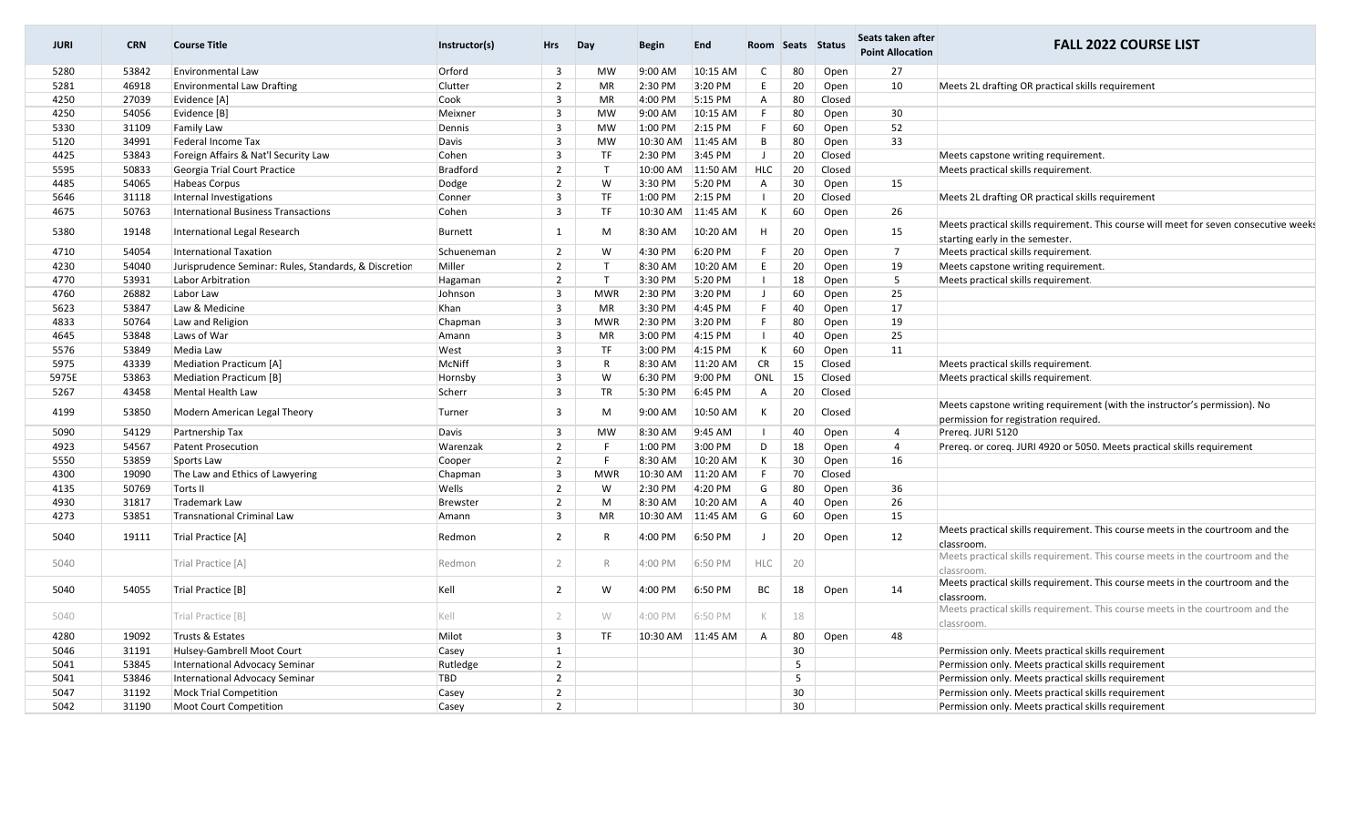| <b>JURI</b> | <b>CRN</b> | <b>Course Title</b>                                   | Instructor(s) | <b>Hrs</b>              | Day          | Begin     | <b>End</b>        |                |    | Room Seats Status | Seats taken after<br><b>Point Allocation</b> | <b>FALL 2022 COURSE LIST</b>                                                                                             |
|-------------|------------|-------------------------------------------------------|---------------|-------------------------|--------------|-----------|-------------------|----------------|----|-------------------|----------------------------------------------|--------------------------------------------------------------------------------------------------------------------------|
| 5280        | 53842      | <b>Environmental Law</b>                              | Orford        | $\overline{\mathbf{3}}$ | <b>MW</b>    | $9:00$ AM | 10:15 AM          | $\mathsf{C}$   | 80 | Open              | 27                                           |                                                                                                                          |
| 5281        | 46918      | <b>Environmental Law Drafting</b>                     | Clutter       | $\overline{2}$          | MR           | 2:30 PM   | 3:20 PM           | E              | 20 | Open              | 10                                           | Meets 2L drafting OR practical skills requirement                                                                        |
| 4250        | 27039      | Evidence [A]                                          | Cook          | $\overline{\mathbf{3}}$ | <b>MR</b>    | 4:00 PM   | 5:15 PM           | $\mathsf{A}$   | 80 | Closed            |                                              |                                                                                                                          |
| 4250        | 54056      | Evidence [B]                                          | Meixner       | $\overline{3}$          | <b>MW</b>    | $9:00$ AM | 10:15 AM          | F              | 80 | Open              | 30                                           |                                                                                                                          |
| 5330        | 31109      | Family Law                                            | Dennis        | $\overline{\mathbf{3}}$ | <b>MW</b>    | 1:00 PM   | 2:15 PM           | F              | 60 | Open              | 52                                           |                                                                                                                          |
| 5120        | 34991      | Federal Income Tax                                    | Davis         | $\overline{3}$          | <b>MW</b>    | 10:30 AM  | 11:45 AM          | B              | 80 | Open              | 33                                           |                                                                                                                          |
| 4425        | 53843      | Foreign Affairs & Nat'l Security Law                  | Cohen         | $\overline{\mathbf{3}}$ | TF           | 2:30 PM   | 3:45 PM           | $\mathsf{J}$   | 20 | Closed            |                                              | Meets capstone writing requirement.                                                                                      |
| 5595        | 50833      | Georgia Trial Court Practice                          | Bradford      | $\overline{2}$          | T            |           | 10:00 AM 11:50 AM | <b>HLC</b>     | 20 | Closed            |                                              | Meets practical skills requirement.                                                                                      |
| 4485        | 54065      | <b>Habeas Corpus</b>                                  | Dodge         | $\overline{2}$          | W            | 3:30 PM   | 5:20 PM           | $\overline{A}$ | 30 | Open              | 15                                           |                                                                                                                          |
| 5646        | 31118      | Internal Investigations                               | Conner        | $\overline{3}$          | <b>TF</b>    | 1:00 PM   | 2:15 PM           | $\overline{1}$ | 20 | Closed            |                                              | Meets 2L drafting OR practical skills requirement                                                                        |
| 4675        | 50763      | <b>International Business Transactions</b>            | Cohen         | $\overline{3}$          | <b>TF</b>    | 10:30 AM  | 11:45 AM          | К              | 60 | Open              | 26                                           |                                                                                                                          |
| 5380        | 19148      | International Legal Research                          | Burnett       | 1                       | M            | 8:30 AM   | 10:20 AM          | H              | 20 | Open              | 15                                           | Meets practical skills requirement. This course will meet for seven consecutive weeks<br>starting early in the semester. |
| 4710        | 54054      | <b>International Taxation</b>                         | Schueneman    | $\overline{2}$          | W            | 4:30 PM   | 6:20 PM           | -F             | 20 | Open              | $7\overline{ }$                              | Meets practical skills requirement.                                                                                      |
| 4230        | 54040      | Jurisprudence Seminar: Rules, Standards, & Discretion | Miller        | $\overline{2}$          | $\mathsf{T}$ | 8:30 AM   | 10:20 AM          | E              | 20 | Open              | 19                                           | Meets capstone writing requirement.                                                                                      |
| 4770        | 53931      | Labor Arbitration                                     | Hagaman       | $\overline{2}$          | $\mathsf{T}$ | 3:30 PM   | 5:20 PM           | $\blacksquare$ | 18 | Open              | $5\overline{5}$                              | Meets practical skills requirement.                                                                                      |
| 4760        | 26882      | Labor Law                                             | Johnson       | $\overline{\mathbf{3}}$ | <b>MWR</b>   | 2:30 PM   | 3:20 PM           | J              | 60 | Open              | 25                                           |                                                                                                                          |
| 5623        | 53847      | Law & Medicine                                        | Khan          | $\overline{3}$          | MR           | 3:30 PM   | 4:45 PM           | F              | 40 | Open              | 17                                           |                                                                                                                          |
| 4833        | 50764      | Law and Religion                                      | Chapman       | $\overline{\mathbf{3}}$ | <b>MWR</b>   | 2:30 PM   | 3:20 PM           | F              | 80 | Open              | 19                                           |                                                                                                                          |
| 4645        | 53848      | Laws of War                                           | Amann         | $\overline{\mathbf{3}}$ | <b>MR</b>    | 3:00 PM   | 4:15 PM           | - 11           | 40 | Open              | 25                                           |                                                                                                                          |
| 5576        | 53849      | Media Law                                             | West          | $\overline{\mathbf{3}}$ | <b>TF</b>    | 3:00 PM   | 4:15 PM           | К              | 60 | Open              | 11                                           |                                                                                                                          |
| 5975        | 43339      | Mediation Practicum [A]                               | McNiff        | $\overline{3}$          | $\mathsf{R}$ | 8:30 AM   | 11:20 AM          | <b>CR</b>      | 15 | Closed            |                                              | Meets practical skills requirement.                                                                                      |
| 5975E       | 53863      | <b>Mediation Practicum [B]</b>                        | Hornsby       | $\overline{3}$          | W            | 6:30 PM   | 9:00 PM           | ONL            | 15 | Closed            |                                              | Meets practical skills requirement.                                                                                      |
| 5267        | 43458      | Mental Health Law                                     | Scherr        | $\overline{3}$          | <b>TR</b>    | 5:30 PM   | 6:45 PM           | $\overline{A}$ | 20 | Closed            |                                              |                                                                                                                          |
| 4199        | 53850      | Modern American Legal Theory                          | Turner        | $\overline{3}$          | M            | 9:00 AM   | 10:50 AM          | К              | 20 | Closed            |                                              | Meets capstone writing requirement (with the instructor's permission). No<br>permission for registration required.       |
| 5090        | 54129      | Partnership Tax                                       | Davis         | $\overline{3}$          | <b>MW</b>    | 8:30 AM   | 9:45 AM           | - 1            | 40 | Open              | $\overline{4}$                               | Prereq. JURI 5120                                                                                                        |
| 4923        | 54567      | <b>Patent Prosecution</b>                             | Warenzak      | $\overline{2}$          | F            | 1:00 PM   | 3:00 PM           | D              | 18 | Open              | $\overline{4}$                               | Prereg. or coreg. JURI 4920 or 5050. Meets practical skills requirement                                                  |
| 5550        | 53859      | Sports Law                                            | Cooper        | $\overline{2}$          | -F           | 8:30 AM   | 10:20 AM          | K              | 30 | Open              | 16                                           |                                                                                                                          |
| 4300        | 19090      | The Law and Ethics of Lawyering                       | Chapman       | $\overline{3}$          | <b>MWR</b>   | 10:30 AM  | 11:20 AM          | F              | 70 | Closed            |                                              |                                                                                                                          |
| 4135        | 50769      | Torts II                                              | Wells         | $\overline{2}$          | W            | 2:30 PM   | 4:20 PM           | G              | 80 | Open              | 36                                           |                                                                                                                          |
| 4930        | 31817      | <b>Trademark Law</b>                                  | Brewster      | $\overline{2}$          | M            | 8:30 AM   | 10:20 AM          | $\mathsf{A}$   | 40 | Open              | 26                                           |                                                                                                                          |
| 4273        | 53851      | <b>Transnational Criminal Law</b>                     | Amann         | $\overline{3}$          | <b>MR</b>    | 10:30 AM  | 11:45 AM          | G              | 60 | Open              | 15                                           |                                                                                                                          |
| 5040        | 19111      | Trial Practice [A]                                    | Redmon        | $\overline{2}$          | $\mathsf{R}$ | 4:00 PM   | 6:50 PM           | $\perp$        | 20 | Open              | 12                                           | Meets practical skills requirement. This course meets in the courtroom and the<br>classroom.                             |
| 5040        |            | Trial Practice [A]                                    | Redmon        | $\overline{2}$          | $\mathbb{R}$ | 4:00 PM   | 6:50 PM           | <b>HLC</b>     | 20 |                   |                                              | Meets practical skills requirement. This course meets in the courtroom and the<br>classroom.                             |
| 5040        | 54055      | Trial Practice [B]                                    | Kell          | $\overline{2}$          | W            | 4:00 PM   | 6:50 PM           | BC             | 18 | Open              | 14                                           | Meets practical skills requirement. This course meets in the courtroom and the<br>classroom.                             |
| 5040        |            | Trial Practice [B]                                    | Kell          | $\overline{2}$          | W            | 4:00 PM   | 6:50 PM           | $\mathbb K$    | 18 |                   |                                              | Meets practical skills requirement. This course meets in the courtroom and the<br>classroom.                             |
| 4280        | 19092      | Trusts & Estates                                      | Milot         | $\overline{3}$          | <b>TF</b>    |           | 10:30 AM 11:45 AM | $\mathsf{A}$   | 80 | Open              | 48                                           |                                                                                                                          |
| 5046        | 31191      | Hulsey-Gambrell Moot Court                            | Casey         | $\mathbf{1}$            |              |           |                   |                | 30 |                   |                                              | Permission only. Meets practical skills requirement                                                                      |
| 5041        | 53845      | International Advocacy Seminar                        | Rutledge      | $\overline{2}$          |              |           |                   |                | 5  |                   |                                              | Permission only. Meets practical skills requirement                                                                      |
| 5041        | 53846      | International Advocacy Seminar                        | TBD           | $\overline{2}$          |              |           |                   |                | 5  |                   |                                              | Permission only. Meets practical skills requirement                                                                      |
| 5047        | 31192      | <b>Mock Trial Competition</b>                         | Casey         | $\overline{2}$          |              |           |                   |                | 30 |                   |                                              | Permission only. Meets practical skills requirement                                                                      |
| 5042        | 31190      | <b>Moot Court Competition</b>                         | Casey         | $\overline{2}$          |              |           |                   |                | 30 |                   |                                              | Permission only. Meets practical skills requirement                                                                      |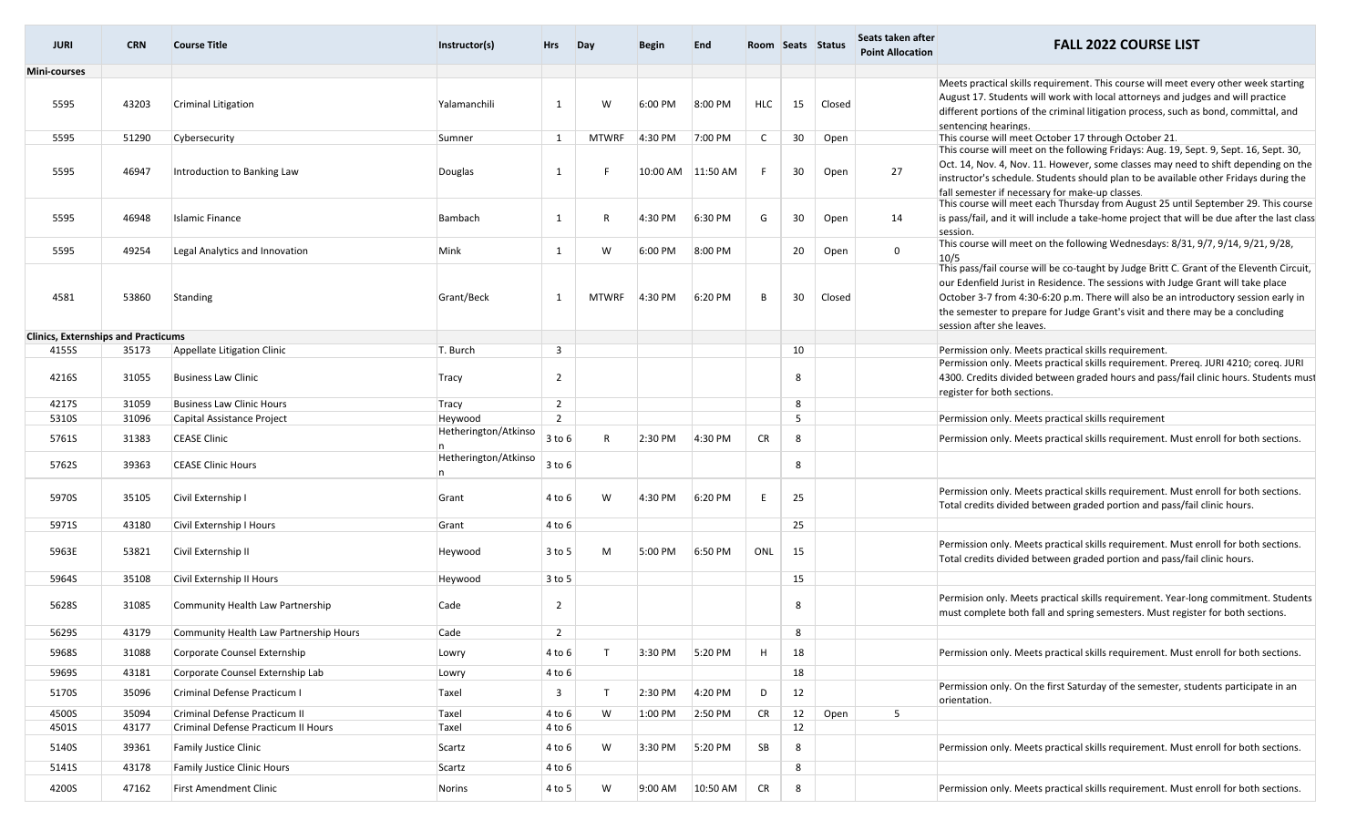| <b>JURI</b>                                | <b>CRN</b>     | <b>Course Title</b>                                       | Instructor(s)             | <b>Hrs</b>                                | Day          | <b>Begin</b> | <b>End</b> |              |         | Room Seats Status | Seats taken after<br><b>Point Allocation</b> | <b>FALL 2022 COURSE LIST</b>                                                                                                                                                                                                                                                                                                                                                      |
|--------------------------------------------|----------------|-----------------------------------------------------------|---------------------------|-------------------------------------------|--------------|--------------|------------|--------------|---------|-------------------|----------------------------------------------|-----------------------------------------------------------------------------------------------------------------------------------------------------------------------------------------------------------------------------------------------------------------------------------------------------------------------------------------------------------------------------------|
| Mini-courses                               |                |                                                           |                           |                                           |              |              |            |              |         |                   |                                              |                                                                                                                                                                                                                                                                                                                                                                                   |
| 5595                                       | 43203          | <b>Criminal Litigation</b>                                | Yalamanchili              | 1                                         | W            | 6:00 PM      | 8:00 PM    | <b>HLC</b>   | 15      | Closed            |                                              | Meets practical skills requirement. This course will meet every other week starting<br>August 17. Students will work with local attorneys and judges and will practice<br>different portions of the criminal litigation process, such as bond, committal, and<br>sentencing hearings.                                                                                             |
| 5595                                       | 51290          | Cybersecurity                                             | Sumner                    | 1                                         | <b>MTWRF</b> | 4:30 PM      | 7:00 PM    | $\mathsf{C}$ | 30      | Open              |                                              | This course will meet October 17 through October 21.                                                                                                                                                                                                                                                                                                                              |
| 5595                                       | 46947          | Introduction to Banking Law                               | Douglas                   | 1                                         | F            | 10:00 AM     | 11:50 AM   |              | 30      | Open              | 27                                           | This course will meet on the following Fridays: Aug. 19, Sept. 9, Sept. 16, Sept. 30,<br>Oct. 14, Nov. 4, Nov. 11. However, some classes may need to shift depending on the<br>instructor's schedule. Students should plan to be available other Fridays during the<br>fall semester if necessary for make-up classes.                                                            |
| 5595                                       | 46948          | <b>Islamic Finance</b>                                    | Bambach                   | 1                                         | R            | 4:30 PM      | 6:30 PM    | G            | 30      | Open              | 14                                           | This course will meet each Thursday from August 25 until September 29. This course<br>is pass/fail, and it will include a take-home project that will be due after the last class<br>session.                                                                                                                                                                                     |
| 5595                                       | 49254          | Legal Analytics and Innovation                            | Mink                      | 1                                         | W            | 6:00 PM      | 8:00 PM    |              | 20      | Open              | 0                                            | This course will meet on the following Wednesdays: 8/31, 9/7, 9/14, 9/21, 9/28,<br>10/5                                                                                                                                                                                                                                                                                           |
| 4581                                       | 53860          | Standing                                                  | Grant/Beck                | 1                                         | MTWRF        | 4:30 PM      | 6:20 PM    | B            | 30      | Closed            |                                              | This pass/fail course will be co-taught by Judge Britt C. Grant of the Eleventh Circuit,<br>our Edenfield Jurist in Residence. The sessions with Judge Grant will take place<br>October 3-7 from 4:30-6:20 p.m. There will also be an introductory session early in<br>the semester to prepare for Judge Grant's visit and there may be a concluding<br>session after she leaves. |
| <b>Clinics, Externships and Practicums</b> |                |                                                           |                           |                                           |              |              |            |              |         |                   |                                              |                                                                                                                                                                                                                                                                                                                                                                                   |
| 4155S<br>4216S                             | 35173<br>31055 | Appellate Litigation Clinic<br><b>Business Law Clinic</b> | T. Burch<br>Tracy         | $\overline{\mathbf{3}}$<br>$\overline{2}$ |              |              |            |              | 10<br>8 |                   |                                              | Permission only. Meets practical skills requirement.<br>Permission only. Meets practical skills requirement. Prereq. JURI 4210; coreq. JURI<br>4300. Credits divided between graded hours and pass/fail clinic hours. Students must<br>register for both sections.                                                                                                                |
| 4217S                                      | 31059          | <b>Business Law Clinic Hours</b>                          | Tracy                     | $\overline{2}$                            |              |              |            |              | 8       |                   |                                              |                                                                                                                                                                                                                                                                                                                                                                                   |
| 5310S                                      | 31096          | Capital Assistance Project                                | Heywood                   | 2                                         |              |              |            |              | 5       |                   |                                              | Permission only. Meets practical skills requirement                                                                                                                                                                                                                                                                                                                               |
| 5761S                                      | 31383          | <b>CEASE Clinic</b>                                       | Hetherington/Atkinso      | $3$ to $6$                                | $\mathsf{R}$ | 2:30 PM      | 4:30 PM    | <b>CR</b>    | 8       |                   |                                              | Permission only. Meets practical skills requirement. Must enroll for both sections.                                                                                                                                                                                                                                                                                               |
| 5762S                                      | 39363          | <b>CEASE Clinic Hours</b>                                 | Hetherington/Atkinso<br>n | $3$ to $6$                                |              |              |            |              | 8       |                   |                                              |                                                                                                                                                                                                                                                                                                                                                                                   |
| 5970S                                      | 35105          | Civil Externship I                                        | Grant                     | 4 to 6                                    | W            | 4:30 PM      | 6:20 PM    | E            | 25      |                   |                                              | Permission only. Meets practical skills requirement. Must enroll for both sections.<br>Total credits divided between graded portion and pass/fail clinic hours.                                                                                                                                                                                                                   |
| 5971S                                      | 43180          | Civil Externship I Hours                                  | Grant                     | 4 to 6                                    |              |              |            |              | 25      |                   |                                              |                                                                                                                                                                                                                                                                                                                                                                                   |
| 5963E                                      | 53821          | Civil Externship II                                       | Heywood                   | 3 to 5                                    | M            | 5:00 PM      | 6:50 PM    | ONL          | 15      |                   |                                              | Permission only. Meets practical skills requirement. Must enroll for both sections.<br>Total credits divided between graded portion and pass/fail clinic hours.                                                                                                                                                                                                                   |
| 5964S                                      | 35108          | Civil Externship II Hours                                 | Heywood                   | 3 to 5                                    |              |              |            |              | 15      |                   |                                              |                                                                                                                                                                                                                                                                                                                                                                                   |
| 5628S                                      | 31085          | Community Health Law Partnership                          | Cade                      | $\overline{2}$                            |              |              |            |              | 8       |                   |                                              | Permision only. Meets practical skills requirement. Year-long commitment. Students<br>must complete both fall and spring semesters. Must register for both sections.                                                                                                                                                                                                              |
| 5629S                                      | 43179          | Community Health Law Partnership Hours                    | Cade                      | $\overline{2}$                            |              |              |            |              | 8       |                   |                                              |                                                                                                                                                                                                                                                                                                                                                                                   |
| 5968S                                      | 31088          | Corporate Counsel Externship                              | Lowry                     | 4 to 6                                    | $\mathsf{T}$ | 3:30 PM      | 5:20 PM    | H            | 18      |                   |                                              | Permission only. Meets practical skills requirement. Must enroll for both sections.                                                                                                                                                                                                                                                                                               |
| 5969S                                      | 43181          | Corporate Counsel Externship Lab                          | Lowry                     | 4 to 6                                    |              |              |            |              | 18      |                   |                                              |                                                                                                                                                                                                                                                                                                                                                                                   |
| 5170S                                      | 35096          | Criminal Defense Practicum I                              | Taxel                     | 3                                         | $\top$       | 2:30 PM      | 4:20 PM    | D            | 12      |                   |                                              | Permission only. On the first Saturday of the semester, students participate in an<br>orientation.                                                                                                                                                                                                                                                                                |
| 4500S                                      | 35094          | Criminal Defense Practicum II                             | Taxel                     | 4 to 6                                    | W            | 1:00 PM      | 2:50 PM    | <b>CR</b>    | 12      | Open              | 5                                            |                                                                                                                                                                                                                                                                                                                                                                                   |
| 4501S                                      | 43177          | Criminal Defense Practicum II Hours                       | Taxel                     | 4 to 6                                    |              |              |            |              | 12      |                   |                                              |                                                                                                                                                                                                                                                                                                                                                                                   |
| 5140S                                      | 39361          | Family Justice Clinic                                     | Scartz                    | 4 to 6                                    | W            | 3:30 PM      | 5:20 PM    | SB           | 8       |                   |                                              | Permission only. Meets practical skills requirement. Must enroll for both sections.                                                                                                                                                                                                                                                                                               |
| 5141S                                      | 43178          | Family Justice Clinic Hours                               | Scartz                    | 4 to 6                                    |              |              |            |              | 8       |                   |                                              |                                                                                                                                                                                                                                                                                                                                                                                   |
| 4200S                                      | 47162          | <b>First Amendment Clinic</b>                             | Norins                    | 4 to 5                                    | W            | 9:00 AM      | 10:50 AM   | <b>CR</b>    | 8       |                   |                                              | Permission only. Meets practical skills requirement. Must enroll for both sections.                                                                                                                                                                                                                                                                                               |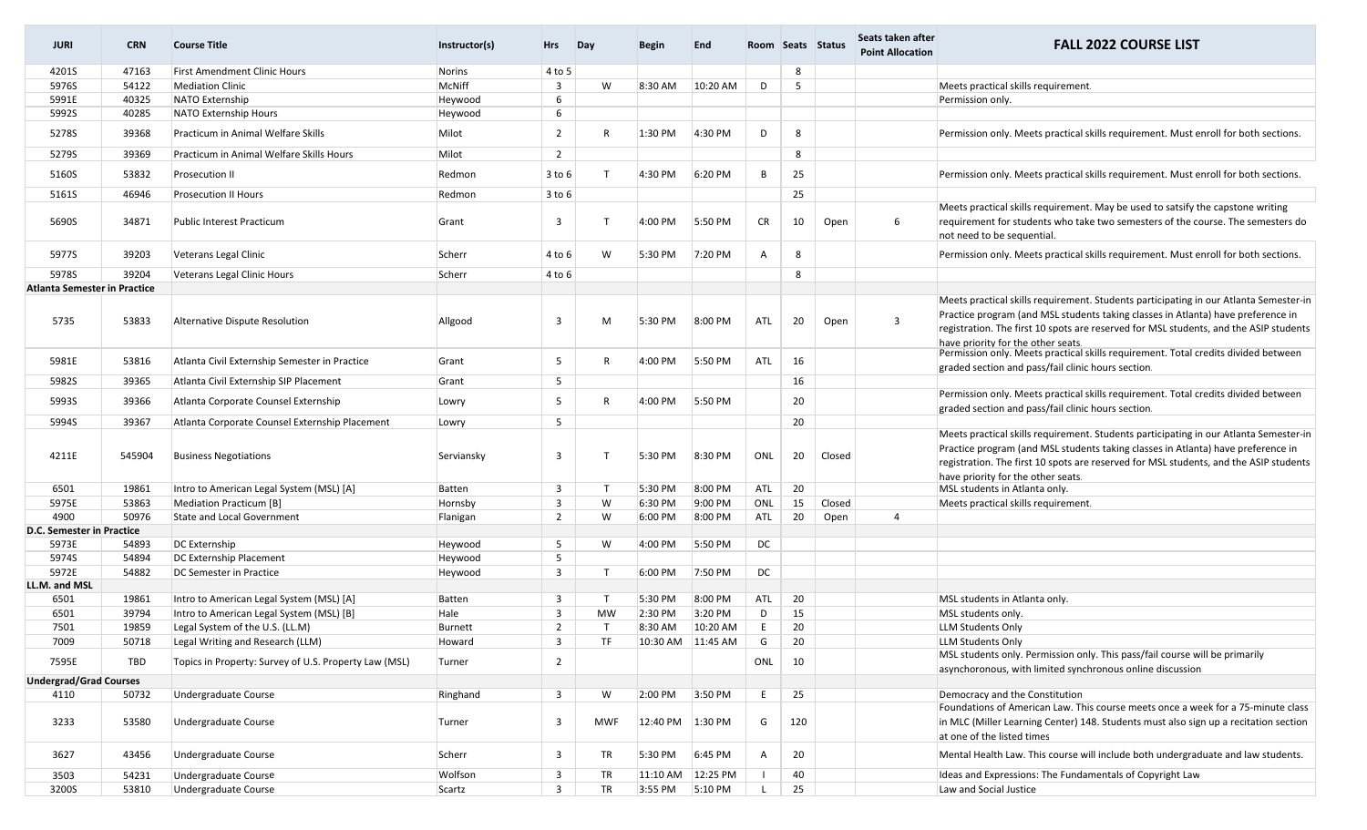| <b>JURI</b>                   | <b>CRN</b> | <b>Course Title</b>                                   | Instructor(s) | Hrs                     | Day          | <b>Begin</b> | <b>End</b>        |           |     | Room Seats Status | Seats taken after<br><b>Point Allocation</b> | <b>FALL 2022 COURSE LIST</b>                                                                                                                                                                                                                                                                             |
|-------------------------------|------------|-------------------------------------------------------|---------------|-------------------------|--------------|--------------|-------------------|-----------|-----|-------------------|----------------------------------------------|----------------------------------------------------------------------------------------------------------------------------------------------------------------------------------------------------------------------------------------------------------------------------------------------------------|
| 4201S                         | 47163      | <b>First Amendment Clinic Hours</b>                   | Norins        | 4 to 5                  |              |              |                   |           | 8   |                   |                                              |                                                                                                                                                                                                                                                                                                          |
| 5976S                         | 54122      | <b>Mediation Clinic</b>                               | McNiff        | 3                       | W            | 8:30 AM      | 10:20 AM          | D         | 5   |                   |                                              | Meets practical skills requirement.                                                                                                                                                                                                                                                                      |
| 5991E                         | 40325      | NATO Externship                                       | Heywood       | 6                       |              |              |                   |           |     |                   |                                              | Permission only.                                                                                                                                                                                                                                                                                         |
| 5992S                         | 40285      | <b>NATO Externship Hours</b>                          | Heywood       | 6                       |              |              |                   |           |     |                   |                                              |                                                                                                                                                                                                                                                                                                          |
| 5278S                         | 39368      | Practicum in Animal Welfare Skills                    | Milot         | $\overline{2}$          | R            | 1:30 PM      | 4:30 PM           | D         | 8   |                   |                                              | Permission only. Meets practical skills requirement. Must enroll for both sections.                                                                                                                                                                                                                      |
| 5279S                         | 39369      | Practicum in Animal Welfare Skills Hours              | Milot         | $\overline{2}$          |              |              |                   |           | 8   |                   |                                              |                                                                                                                                                                                                                                                                                                          |
| 5160S                         | 53832      | <b>Prosecution II</b>                                 | Redmon        | $3$ to $6$              | T            | 4:30 PM      | 6:20 PM           | B         | 25  |                   |                                              | Permission only. Meets practical skills requirement. Must enroll for both sections.                                                                                                                                                                                                                      |
| 5161S                         | 46946      | <b>Prosecution II Hours</b>                           | Redmon        | $3$ to $6$              |              |              |                   |           | 25  |                   |                                              |                                                                                                                                                                                                                                                                                                          |
| 5690S                         | 34871      | <b>Public Interest Practicum</b>                      | Grant         | $\overline{\mathbf{3}}$ | $\mathsf{T}$ | 4:00 PM      | 5:50 PM           | <b>CR</b> | 10  | Open              | 6                                            | Meets practical skills requirement. May be used to satsify the capstone writing<br>requirement for students who take two semesters of the course. The semesters do<br>not need to be sequential.                                                                                                         |
| 5977S                         | 39203      | Veterans Legal Clinic                                 | Scherr        | 4 to 6                  | W            | 5:30 PM      | 7:20 PM           | A         | 8   |                   |                                              | Permission only. Meets practical skills requirement. Must enroll for both sections.                                                                                                                                                                                                                      |
| 5978S                         | 39204      | Veterans Legal Clinic Hours                           | Scherr        | 4 to 6                  |              |              |                   |           | 8   |                   |                                              |                                                                                                                                                                                                                                                                                                          |
| Atlanta Semester in Practice  |            |                                                       |               |                         |              |              |                   |           |     |                   |                                              |                                                                                                                                                                                                                                                                                                          |
| 5735                          | 53833      | Alternative Dispute Resolution                        | Allgood       | 3                       | M            | 5:30 PM      | 8:00 PM           | ATL       | 20  | Open              | 3                                            | Meets practical skills requirement. Students participating in our Atlanta Semester-in<br>Practice program (and MSL students taking classes in Atlanta) have preference in<br>registration. The first 10 spots are reserved for MSL students, and the ASIP students<br>have priority for the other seats. |
| 5981E                         | 53816      | Atlanta Civil Externship Semester in Practice         | Grant         | 5                       | R            | 4:00 PM      | 5:50 PM           | ATL       | 16  |                   |                                              | Permission only. Meets practical skills requirement. Total credits divided between<br>graded section and pass/fail clinic hours section.                                                                                                                                                                 |
| 5982S                         | 39365      | Atlanta Civil Externship SIP Placement                | Grant         | 5                       |              |              |                   |           | 16  |                   |                                              |                                                                                                                                                                                                                                                                                                          |
| 5993S                         | 39366      | Atlanta Corporate Counsel Externship                  | Lowry         | 5                       | R            | 4:00 PM      | 5:50 PM           |           | 20  |                   |                                              | Permission only. Meets practical skills requirement. Total credits divided between<br>graded section and pass/fail clinic hours section.                                                                                                                                                                 |
| 5994S                         | 39367      | Atlanta Corporate Counsel Externship Placement        | Lowry         | 5                       |              |              |                   |           | 20  |                   |                                              |                                                                                                                                                                                                                                                                                                          |
| 4211E                         | 545904     | <b>Business Negotiations</b>                          | Serviansky    | $\overline{3}$          | $\mathsf{T}$ | 5:30 PM      | 8:30 PM           | ONL       | 20  | Closed            |                                              | Meets practical skills requirement. Students participating in our Atlanta Semester-in<br>Practice program (and MSL students taking classes in Atlanta) have preference in<br>registration. The first 10 spots are reserved for MSL students, and the ASIP students<br>have priority for the other seats. |
| 6501                          | 19861      | Intro to American Legal System (MSL) [A]              | Batten        | $\overline{3}$          | $\top$       | 5:30 PM      | 8:00 PM           | ATL       | 20  |                   |                                              | MSL students in Atlanta only.                                                                                                                                                                                                                                                                            |
| 5975E                         | 53863      | Mediation Practicum [B]                               | Hornsby       | $\overline{\mathbf{3}}$ | W            | 6:30 PM      | 9:00 PM           | ONL       | 15  | Closed            |                                              | Meets practical skills requirement.                                                                                                                                                                                                                                                                      |
| 4900                          | 50976      | State and Local Government                            | Flanigan      | $\overline{2}$          | W            | 6:00 PM      | 8:00 PM           | ATL       | 20  | Open              | 4                                            |                                                                                                                                                                                                                                                                                                          |
| D.C. Semester in Practice     |            |                                                       |               |                         |              |              |                   |           |     |                   |                                              |                                                                                                                                                                                                                                                                                                          |
| 5973E                         | 54893      | DC Externship                                         | Heywood       | 5                       | W            | 4:00 PM      | 5:50 PM           | DC        |     |                   |                                              |                                                                                                                                                                                                                                                                                                          |
| 5974S                         | 54894      | DC Externship Placement                               | Heywood       | 5                       |              |              |                   |           |     |                   |                                              |                                                                                                                                                                                                                                                                                                          |
| 5972E<br>LL.M. and MSL        | 54882      | DC Semester in Practice                               | Heywood       | $\overline{3}$          | $\top$       | 6:00 PM      | 7:50 PM           | DC        |     |                   |                                              |                                                                                                                                                                                                                                                                                                          |
| 6501                          | 19861      | Intro to American Legal System (MSL) [A]              | Batten        | $\overline{\mathbf{3}}$ | $\top$       | 5:30 PM      | 8:00 PM           | ATL       | 20  |                   |                                              | MSL students in Atlanta only.                                                                                                                                                                                                                                                                            |
| 6501                          | 39794      | Intro to American Legal System (MSL) [B]              | Hale          | $\overline{3}$          | <b>MW</b>    | 2:30 PM      | 3:20 PM           | D         | 15  |                   |                                              | MSL students only.                                                                                                                                                                                                                                                                                       |
| 7501                          | 19859      | Legal System of the U.S. (LL.M)                       | Burnett       | $\overline{2}$          | $\top$       | 8:30 AM      | 10:20 AM          | E.        | 20  |                   |                                              | LLM Students Only                                                                                                                                                                                                                                                                                        |
| 7009                          | 50718      | Legal Writing and Research (LLM)                      | Howard        | -3                      | TF           |              | 10:30 AM 11:45 AM | G         | 20  |                   |                                              | <b>LLM Students Only</b>                                                                                                                                                                                                                                                                                 |
| 7595E                         | TBD        | Topics in Property: Survey of U.S. Property Law (MSL) | Turner        | $\overline{2}$          |              |              |                   | ONL       | 10  |                   |                                              | MSL students only. Permission only. This pass/fail course will be primarily                                                                                                                                                                                                                              |
|                               |            |                                                       |               |                         |              |              |                   |           |     |                   |                                              | asynchoronous, with limited synchronous online discussion                                                                                                                                                                                                                                                |
| <b>Undergrad/Grad Courses</b> |            |                                                       |               |                         |              |              |                   |           |     |                   |                                              |                                                                                                                                                                                                                                                                                                          |
| 4110                          | 50732      | Undergraduate Course                                  | Ringhand      | $\overline{\mathbf{3}}$ | W            | 2:00 PM      | 3:50 PM           | E.        | 25  |                   |                                              | Democracy and the Constitution<br>Foundations of American Law. This course meets once a week for a 75-minute class                                                                                                                                                                                       |
| 3233                          | 53580      | Undergraduate Course                                  | Turner        | $\overline{\mathbf{3}}$ | <b>MWF</b>   | 12:40 PM     | 1:30 PM           | G         | 120 |                   |                                              | in MLC (Miller Learning Center) 148. Students must also sign up a recitation section<br>at one of the listed times                                                                                                                                                                                       |
| 3627                          | 43456      | Undergraduate Course                                  | Scherr        | 3                       | TR           | 5:30 PM      | 6:45 PM           | A         | 20  |                   |                                              | Mental Health Law. This course will include both undergraduate and law students.                                                                                                                                                                                                                         |
| 3503                          | 54231      | Undergraduate Course                                  | Wolfson       | $\overline{\mathbf{3}}$ | TR           | 11:10 AM     | 12:25 PM          |           | 40  |                   |                                              | Ideas and Expressions: The Fundamentals of Copyright Law                                                                                                                                                                                                                                                 |
| 3200S                         | 53810      | Undergraduate Course                                  | Scartz        | $\overline{\mathbf{3}}$ | <b>TR</b>    | 3:55 PM      | 5:10 PM           |           | 25  |                   |                                              | Law and Social Justice                                                                                                                                                                                                                                                                                   |